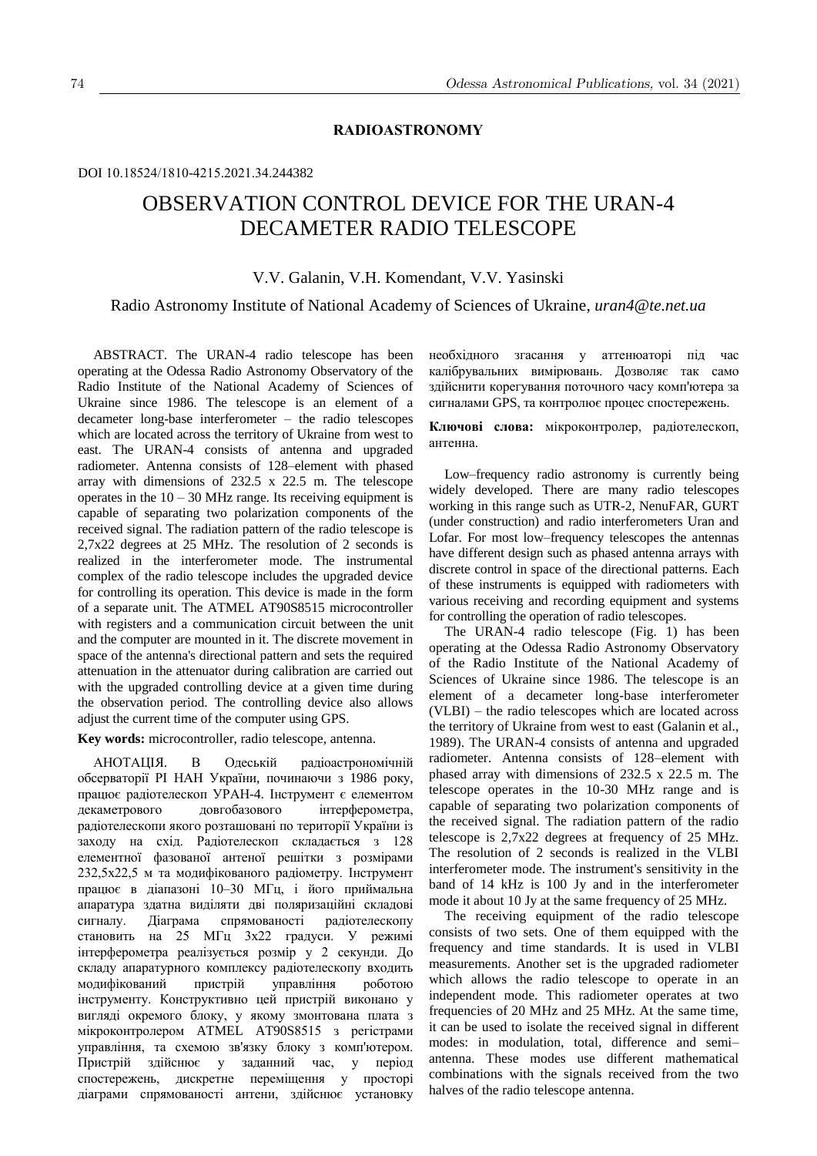## **RADIOASTRONOMY**

### DOI 10.18524/1810-4215.2021.34.244382

# OBSERVATION CONTROL DEVICE FOR THE URAN-4 DECAMETER RADIO TELESCOPE

# V.V. Galanin, V.H. Komendant, V.V. Yasinski

### Radio Astronomy Institute of National Academy of Sciences of Ukraine, *uran4@te.net.ua*

ABSTRACT. The URAN-4 radio telescope has been operating at the Odessa Radio Astronomy Observatory of the Radio Institute of the National Academy of Sciences of Ukraine since 1986. The telescope is an element of a decameter long-base interferometer – the radio telescopes which are located across the territory of Ukraine from west to east. The URAN-4 consists of antenna and upgraded radiometer. Antenna consists of 128–element with phased array with dimensions of 232.5 x 22.5 m. The telescope operates in the  $10 - 30$  MHz range. Its receiving equipment is capable of separating two polarization components of the received signal. The radiation pattern of the radio telescope is 2,7x22 degrees at 25 MHz. The resolution of 2 seconds is realized in the interferometer mode. The instrumental complex of the radio telescope includes the upgraded device for controlling its operation. This device is made in the form of a separate unit. The ATMEL AT90S8515 microcontroller with registers and a communication circuit between the unit and the computer are mounted in it. The discrete movement in space of the antenna's directional pattern and sets the required attenuation in the attenuator during calibration are carried out with the upgraded controlling device at a given time during the observation period. The controlling device also allows adjust the current time of the computer using GPS.

**Key words:** microcontroller, radio telescope, antenna.

АНОТАЦІЯ. В Одеській радіоастрономічній обсерваторії РІ НАН України, починаючи з 1986 року, працює радіотелескоп УРАН-4. Інструмент є елементом декаметрового довгобазового інтерферометра, радіотелескопи якого розташовані по території України із заходу на схід. Радіотелескоп складається з 128 елементної фазованої антеної решітки з розмірами 232,5х22,5 м та модифiкованого радiометру. Інструмент працює в діапазоні 10–30 МГц, і його приймальна апаратура здатна виділяти дві поляризаційні складові сигналу. Діаграма спрямованості радіотелескопу становить на 25 МГц 3х22 градуси. У режимі інтерферометра реалізується розмiр у 2 секунди. До складу апаратурного комплексу радіотелескопу входить модифікований пристрій інструменту. Конструктивно цей пристрій виконано у вигляді окремого блоку, у якому змонтована плата з мікроконтролером ATMEL AT90S8515 з регістрами управління, та схемою зв'язку блоку з комп'ютером. Пристрій здійснює у заданний час, у період спостережень, дискретне переміщення у просторi діаграми спрямованості антени, здійснює установку

необхідного згасання у аттенюаторi під час калібрувальних вимірювань. Дозволяє так само здійснити корегування поточного часу комп'ютера за сигналами GPS, та контролює процес спостережень.

**Ключовi слова:** мiкроконтролер, радiотелескоп, антенна.

Low–frequency radio astronomy is currently being widely developed. There are many radio telescopes working in this range such as UTR-2, NenuFAR, GURT (under construction) and radio interferometers Uran and Lofar. For most low–frequency telescopes the antennas have different design such as phased antenna arrays with discrete control in space of the directional patterns. Each of these instruments is equipped with radiometers with various receiving and recording equipment and systems for controlling the operation of radio telescopes.

The URAN-4 radio telescope (Fig. 1) has been operating at the Odessa Radio Astronomy Observatory of the Radio Institute of the National Academy of Sciences of Ukraine since 1986. The telescope is an element of a decameter long-base interferometer (VLBI) – the radio telescopes which are located across the territory of Ukraine from west to east (Galanin et al., 1989). The URAN-4 consists of antenna and upgraded radiometer. Antenna consists of 128–element with phased array with dimensions of 232.5 x 22.5 m. The telescope operates in the 10-30 MHz range and is capable of separating two polarization components of the received signal. The radiation pattern of the radio telescope is 2,7x22 degrees at frequency of 25 MHz. The resolution of 2 seconds is realized in the VLBI interferometer mode. The instrument's sensitivity in the band of 14 kHz is 100 Jy and in the interferometer mode it about 10 Jy at the same frequency of 25 MHz.

The receiving equipment of the radio telescope consists of two sets. One of them equipped with the frequency and time standards. It is used in VLBI measurements. Another set is the upgraded radiometer which allows the radio telescope to operate in an independent mode. This radiometer operates at two frequencies of 20 MHz and 25 MHz. At the same time, it can be used to isolate the received signal in different modes: in modulation, total, difference and semi– antenna. These modes use different mathematical combinations with the signals received from the two halves of the radio telescope antenna.